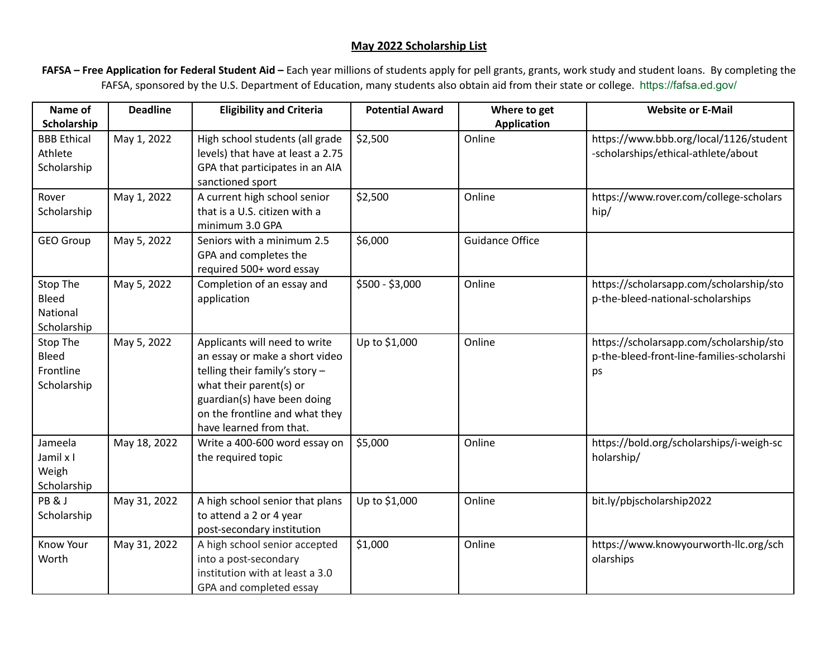## **May 2022 Scholarship List**

**FAFSA – Free Application for Federal Student Aid –** Each year millions of students apply for pell grants, grants, work study and student loans. By completing the FAFSA, sponsored by the U.S. Department of Education, many students also obtain aid from their state or college. https://fafsa.ed.gov/

| Name of            | <b>Deadline</b> | <b>Eligibility and Criteria</b>   | <b>Potential Award</b> | Where to get           | <b>Website or E-Mail</b>                   |
|--------------------|-----------------|-----------------------------------|------------------------|------------------------|--------------------------------------------|
| Scholarship        |                 |                                   |                        | <b>Application</b>     |                                            |
| <b>BBB Ethical</b> | May 1, 2022     | High school students (all grade   | \$2,500                | Online                 | https://www.bbb.org/local/1126/student     |
| Athlete            |                 | levels) that have at least a 2.75 |                        |                        | -scholarships/ethical-athlete/about        |
| Scholarship        |                 | GPA that participates in an AIA   |                        |                        |                                            |
|                    |                 | sanctioned sport                  |                        |                        |                                            |
| Rover              | May 1, 2022     | A current high school senior      | \$2,500                | Online                 | https://www.rover.com/college-scholars     |
| Scholarship        |                 | that is a U.S. citizen with a     |                        |                        | hip/                                       |
|                    |                 | minimum 3.0 GPA                   |                        |                        |                                            |
| <b>GEO Group</b>   | May 5, 2022     | Seniors with a minimum 2.5        | \$6,000                | <b>Guidance Office</b> |                                            |
|                    |                 | GPA and completes the             |                        |                        |                                            |
|                    |                 | required 500+ word essay          |                        |                        |                                            |
| Stop The           | May 5, 2022     | Completion of an essay and        | \$500 - \$3,000        | Online                 | https://scholarsapp.com/scholarship/sto    |
| Bleed              |                 | application                       |                        |                        | p-the-bleed-national-scholarships          |
| National           |                 |                                   |                        |                        |                                            |
| Scholarship        |                 |                                   |                        |                        |                                            |
| Stop The           | May 5, 2022     | Applicants will need to write     | Up to \$1,000          | Online                 | https://scholarsapp.com/scholarship/sto    |
| Bleed              |                 | an essay or make a short video    |                        |                        | p-the-bleed-front-line-families-scholarshi |
| Frontline          |                 | telling their family's story -    |                        |                        | ps                                         |
| Scholarship        |                 | what their parent(s) or           |                        |                        |                                            |
|                    |                 | guardian(s) have been doing       |                        |                        |                                            |
|                    |                 | on the frontline and what they    |                        |                        |                                            |
|                    |                 | have learned from that.           |                        |                        |                                            |
| Jameela            | May 18, 2022    | Write a 400-600 word essay on     | \$5,000                | Online                 | https://bold.org/scholarships/i-weigh-sc   |
| Jamil x I          |                 | the required topic                |                        |                        | holarship/                                 |
| Weigh              |                 |                                   |                        |                        |                                            |
| Scholarship        |                 |                                   |                        |                        |                                            |
| PB& J              | May 31, 2022    | A high school senior that plans   | Up to \$1,000          | Online                 | bit.ly/pbjscholarship2022                  |
| Scholarship        |                 | to attend a 2 or 4 year           |                        |                        |                                            |
|                    |                 | post-secondary institution        |                        |                        |                                            |
| Know Your          | May 31, 2022    | A high school senior accepted     | \$1,000                | Online                 | https://www.knowyourworth-llc.org/sch      |
| Worth              |                 | into a post-secondary             |                        |                        | olarships                                  |
|                    |                 | institution with at least a 3.0   |                        |                        |                                            |
|                    |                 | GPA and completed essay           |                        |                        |                                            |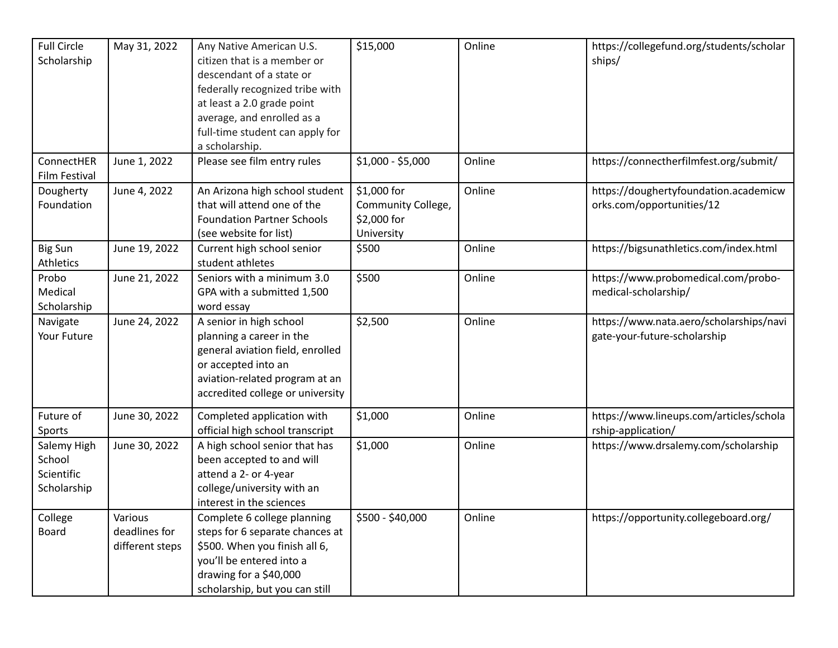| <b>Full Circle</b><br>Scholarship                  | May 31, 2022                                | Any Native American U.S.<br>citizen that is a member or<br>descendant of a state or<br>federally recognized tribe with<br>at least a 2.0 grade point<br>average, and enrolled as a<br>full-time student can apply for<br>a scholarship. | \$15,000                                                        | Online | https://collegefund.org/students/scholar<br>ships/                      |
|----------------------------------------------------|---------------------------------------------|-----------------------------------------------------------------------------------------------------------------------------------------------------------------------------------------------------------------------------------------|-----------------------------------------------------------------|--------|-------------------------------------------------------------------------|
| ConnectHER<br>Film Festival                        | June 1, 2022                                | Please see film entry rules                                                                                                                                                                                                             | $$1,000 - $5,000$                                               | Online | https://connectherfilmfest.org/submit/                                  |
| Dougherty<br>Foundation                            | June 4, 2022                                | An Arizona high school student<br>that will attend one of the<br><b>Foundation Partner Schools</b><br>(see website for list)                                                                                                            | $$1,000$ for<br>Community College,<br>\$2,000 for<br>University | Online | https://doughertyfoundation.academicw<br>orks.com/opportunities/12      |
| <b>Big Sun</b><br>Athletics                        | June 19, 2022                               | Current high school senior<br>student athletes                                                                                                                                                                                          | \$500                                                           | Online | https://bigsunathletics.com/index.html                                  |
| Probo<br>Medical<br>Scholarship                    | June 21, 2022                               | Seniors with a minimum 3.0<br>GPA with a submitted 1,500<br>word essay                                                                                                                                                                  | \$500                                                           | Online | https://www.probomedical.com/probo-<br>medical-scholarship/             |
| Navigate<br>Your Future                            | June 24, 2022                               | A senior in high school<br>planning a career in the<br>general aviation field, enrolled<br>or accepted into an<br>aviation-related program at an<br>accredited college or university                                                    | \$2,500                                                         | Online | https://www.nata.aero/scholarships/navi<br>gate-your-future-scholarship |
| Future of<br>Sports                                | June 30, 2022                               | Completed application with<br>official high school transcript                                                                                                                                                                           | \$1,000                                                         | Online | https://www.lineups.com/articles/schola<br>rship-application/           |
| Salemy High<br>School<br>Scientific<br>Scholarship | June 30, 2022                               | A high school senior that has<br>been accepted to and will<br>attend a 2- or 4-year<br>college/university with an<br>interest in the sciences                                                                                           | \$1,000                                                         | Online | https://www.drsalemy.com/scholarship                                    |
| College<br>Board                                   | Various<br>deadlines for<br>different steps | Complete 6 college planning<br>steps for 6 separate chances at<br>\$500. When you finish all 6,<br>you'll be entered into a<br>drawing for a \$40,000<br>scholarship, but you can still                                                 | \$500 - \$40,000                                                | Online | https://opportunity.collegeboard.org/                                   |